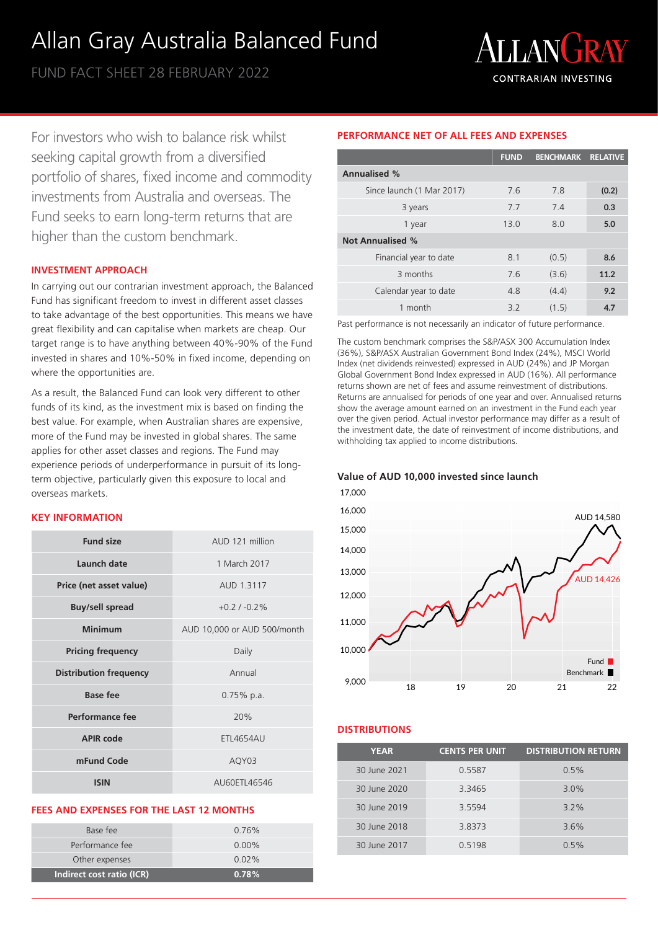# Allan Gray Australia Balanced Fund

FUND FACT SHEET 28 FEBRUARY 2022



For investors who wish to balance risk whilst seeking capital growth from a diversified portfolio of shares, fixed income and commodity investments from Australia and overseas. The Fund seeks to earn long-term returns that are higher than the custom benchmark.

#### **INVESTMENT APPROACH**

In carrying out our contrarian investment approach, the Balanced Fund has significant freedom to invest in different asset classes to take advantage of the best opportunities. This means we have great flexibility and can capitalise when markets are cheap. Our target range is to have anything between 40%-90% of the Fund invested in shares and 10%-50% in fixed income, depending on where the opportunities are.

As a result, the Balanced Fund can look very different to other funds of its kind, as the investment mix is based on finding the best value. For example, when Australian shares are expensive, more of the Fund may be invested in global shares. The same applies for other asset classes and regions. The Fund may experience periods of underperformance in pursuit of its longterm objective, particularly given this exposure to local and overseas markets.

#### **KEY INFORMATION**

| <b>Fund size</b>              | AUD 121 million             |  |  |
|-------------------------------|-----------------------------|--|--|
| Launch date                   | 1 March 2017                |  |  |
| Price (net asset value)       | AUD 1.3117                  |  |  |
| <b>Buy/sell spread</b>        | $+0.2$ / $-0.2\%$           |  |  |
| Minimum                       | AUD 10,000 or AUD 500/month |  |  |
| <b>Pricing frequency</b>      | Daily                       |  |  |
| <b>Distribution frequency</b> | Annual                      |  |  |
| <b>Base fee</b>               | $0.75\%$ p.a.               |  |  |
| Performance fee               | 20%                         |  |  |
| APIR code                     | <b>ETL4654AU</b>            |  |  |
| mFund Code                    | AQY03                       |  |  |
| <b>ISIN</b>                   | AU60FTI 46546               |  |  |

#### **FEES AND EXPENSES FOR THE LAST 12 MONTHS**

| Indirect cost ratio (ICR) | 0.78%    |
|---------------------------|----------|
| Other expenses            | $0.02\%$ |
| Performance fee           | $0.00\%$ |
| Base fee                  | $0.76\%$ |
|                           |          |

## **PERFORMANCE NET OF ALL FEES AND EXPENSES**

|                           | <b>FUND</b> | <b>BENCHMARK RELATIVE</b> |       |
|---------------------------|-------------|---------------------------|-------|
| <b>Annualised %</b>       |             |                           |       |
| Since launch (1 Mar 2017) | 7.6         | 7.8                       | (0.2) |
| 3 years                   | 7.7         | 7.4                       | 0.3   |
| 1 year                    | 13.0        | 8.0                       | 5.0   |
| <b>Not Annualised %</b>   |             |                           |       |
| Financial year to date    | 8.1         | (0.5)                     | 8.6   |
| 3 months                  | 76          | (3.6)                     | 11.2  |
| Calendar year to date     | 48          | (4.4)                     | 9.2   |
| 1 month                   | 3.2         | (1.5)                     | 4.7   |

Past performance is not necessarily an indicator of future performance.

The custom benchmark comprises the S&P/ASX 300 Accumulation Index (36%), S&P/ASX Australian Government Bond Index (24%), MSCI World Index (net dividends reinvested) expressed in AUD (24%) and JP Morgan Global Government Bond Index expressed in AUD (16%). All performance returns shown are net of fees and assume reinvestment of distributions. Returns are annualised for periods of one year and over. Annualised returns show the average amount earned on an investment in the Fund each year over the given period. Actual investor performance may differ as a result of the investment date, the date of reinvestment of income distributions, and withholding tax applied to income distributions.

#### **Value of AUD 10,000 invested since launch**



### **DISTRIBUTIONS**

| <b>YEAR</b>  | <b>CENTS PER UNIT</b> | <b>DISTRIBUTION RETURN</b> |
|--------------|-----------------------|----------------------------|
| 30 June 2021 | 0.5587                | 0.5%                       |
| 30 June 2020 | 3.3465                | $3.0\%$                    |
| 30 June 2019 | 3.5594                | $3.2\%$                    |
| 30 June 2018 | 3.8373                | 3.6%                       |
| 30 June 2017 | 0.5198                | 0.5%                       |